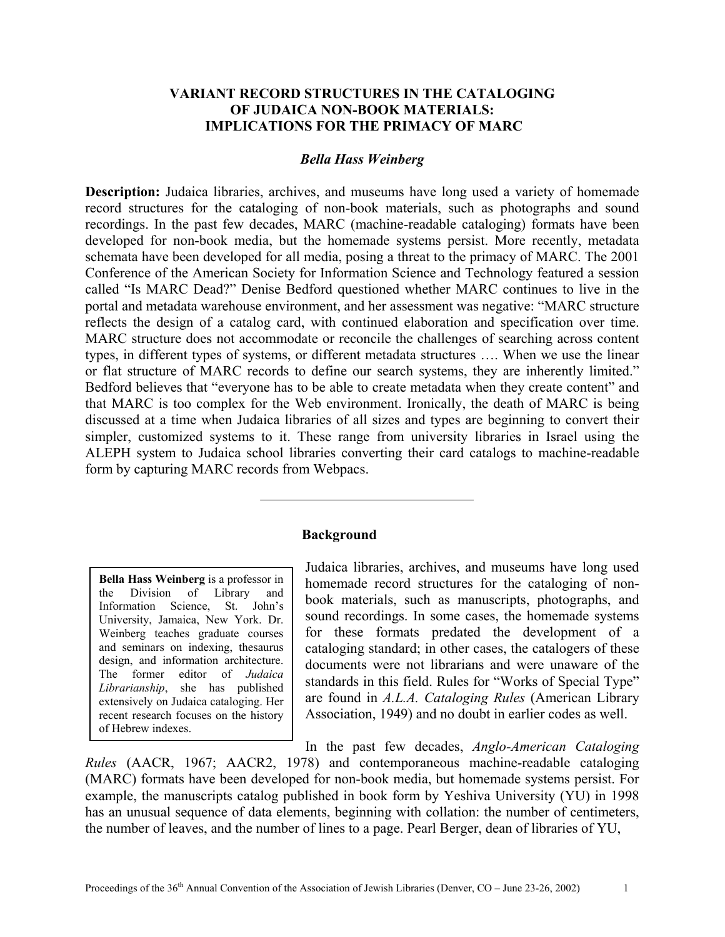## **VARIANT RECORD STRUCTURES IN THE CATALOGING OF JUDAICA NON-BOOK MATERIALS: IMPLICATIONS FOR THE PRIMACY OF MARC**

#### *Bella Hass Weinberg*

**Description:** Judaica libraries, archives, and museums have long used a variety of homemade record structures for the cataloging of non-book materials, such as photographs and sound recordings. In the past few decades, MARC (machine-readable cataloging) formats have been developed for non-book media, but the homemade systems persist. More recently, metadata schemata have been developed for all media, posing a threat to the primacy of MARC. The 2001 Conference of the American Society for Information Science and Technology featured a session called "Is MARC Dead?" Denise Bedford questioned whether MARC continues to live in the portal and metadata warehouse environment, and her assessment was negative: "MARC structure reflects the design of a catalog card, with continued elaboration and specification over time. MARC structure does not accommodate or reconcile the challenges of searching across content types, in different types of systems, or different metadata structures …. When we use the linear or flat structure of MARC records to define our search systems, they are inherently limited." Bedford believes that "everyone has to be able to create metadata when they create content" and that MARC is too complex for the Web environment. Ironically, the death of MARC is being discussed at a time when Judaica libraries of all sizes and types are beginning to convert their simpler, customized systems to it. These range from university libraries in Israel using the ALEPH system to Judaica school libraries converting their card catalogs to machine-readable form by capturing MARC records from Webpacs.

#### **Background**

**Bella Hass Weinberg** is a professor in the Division of Library and Information Science, St. John's University, Jamaica, New York. Dr. Weinberg teaches graduate courses and seminars on indexing, thesaurus design, and information architecture. The former editor of *Judaica Librarianship*, she has published extensively on Judaica cataloging. Her recent research focuses on the history of Hebrew indexes.

Judaica libraries, archives, and museums have long used homemade record structures for the cataloging of nonbook materials, such as manuscripts, photographs, and sound recordings. In some cases, the homemade systems for these formats predated the development of a cataloging standard; in other cases, the catalogers of these documents were not librarians and were unaware of the standards in this field. Rules for "Works of Special Type" are found in *A.L.A. Cataloging Rules* (American Library Association, 1949) and no doubt in earlier codes as well.

In the past few decades, *Anglo-American Cataloging* 

*Rules* (AACR, 1967; AACR2, 1978) and contemporaneous machine-readable cataloging (MARC) formats have been developed for non-book media, but homemade systems persist. For example, the manuscripts catalog published in book form by Yeshiva University (YU) in 1998 has an unusual sequence of data elements, beginning with collation: the number of centimeters, the number of leaves, and the number of lines to a page. Pearl Berger, dean of libraries of YU,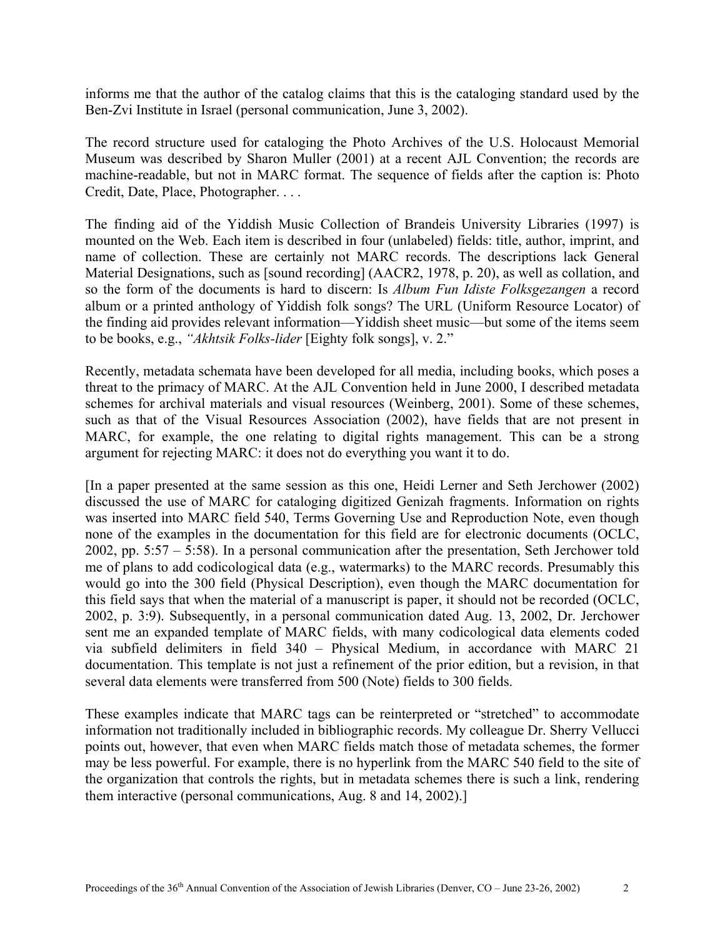informs me that the author of the catalog claims that this is the cataloging standard used by the Ben-Zvi Institute in Israel (personal communication, June 3, 2002).

The record structure used for cataloging the Photo Archives of the U.S. Holocaust Memorial Museum was described by Sharon Muller (2001) at a recent AJL Convention; the records are machine-readable, but not in MARC format. The sequence of fields after the caption is: Photo Credit, Date, Place, Photographer. . . .

The finding aid of the Yiddish Music Collection of Brandeis University Libraries (1997) is mounted on the Web. Each item is described in four (unlabeled) fields: title, author, imprint, and name of collection. These are certainly not MARC records. The descriptions lack General Material Designations, such as [sound recording] (AACR2, 1978, p. 20), as well as collation, and so the form of the documents is hard to discern: Is *Album Fun Idiste Folksgezangen* a record album or a printed anthology of Yiddish folk songs? The URL (Uniform Resource Locator) of the finding aid provides relevant information—Yiddish sheet music—but some of the items seem to be books, e.g., *"Akhtsik Folks-lider* [Eighty folk songs], v. 2."

Recently, metadata schemata have been developed for all media, including books, which poses a threat to the primacy of MARC. At the AJL Convention held in June 2000, I described metadata schemes for archival materials and visual resources (Weinberg, 2001). Some of these schemes, such as that of the Visual Resources Association (2002), have fields that are not present in MARC, for example, the one relating to digital rights management. This can be a strong argument for rejecting MARC: it does not do everything you want it to do.

[In a paper presented at the same session as this one, Heidi Lerner and Seth Jerchower (2002) discussed the use of MARC for cataloging digitized Genizah fragments. Information on rights was inserted into MARC field 540, Terms Governing Use and Reproduction Note, even though none of the examples in the documentation for this field are for electronic documents (OCLC, 2002, pp. 5:57 – 5:58). In a personal communication after the presentation, Seth Jerchower told me of plans to add codicological data (e.g., watermarks) to the MARC records. Presumably this would go into the 300 field (Physical Description), even though the MARC documentation for this field says that when the material of a manuscript is paper, it should not be recorded (OCLC, 2002, p. 3:9). Subsequently, in a personal communication dated Aug. 13, 2002, Dr. Jerchower sent me an expanded template of MARC fields, with many codicological data elements coded via subfield delimiters in field 340 – Physical Medium, in accordance with MARC 21 documentation. This template is not just a refinement of the prior edition, but a revision, in that several data elements were transferred from 500 (Note) fields to 300 fields.

These examples indicate that MARC tags can be reinterpreted or "stretched" to accommodate information not traditionally included in bibliographic records. My colleague Dr. Sherry Vellucci points out, however, that even when MARC fields match those of metadata schemes, the former may be less powerful. For example, there is no hyperlink from the MARC 540 field to the site of the organization that controls the rights, but in metadata schemes there is such a link, rendering them interactive (personal communications, Aug. 8 and 14, 2002).]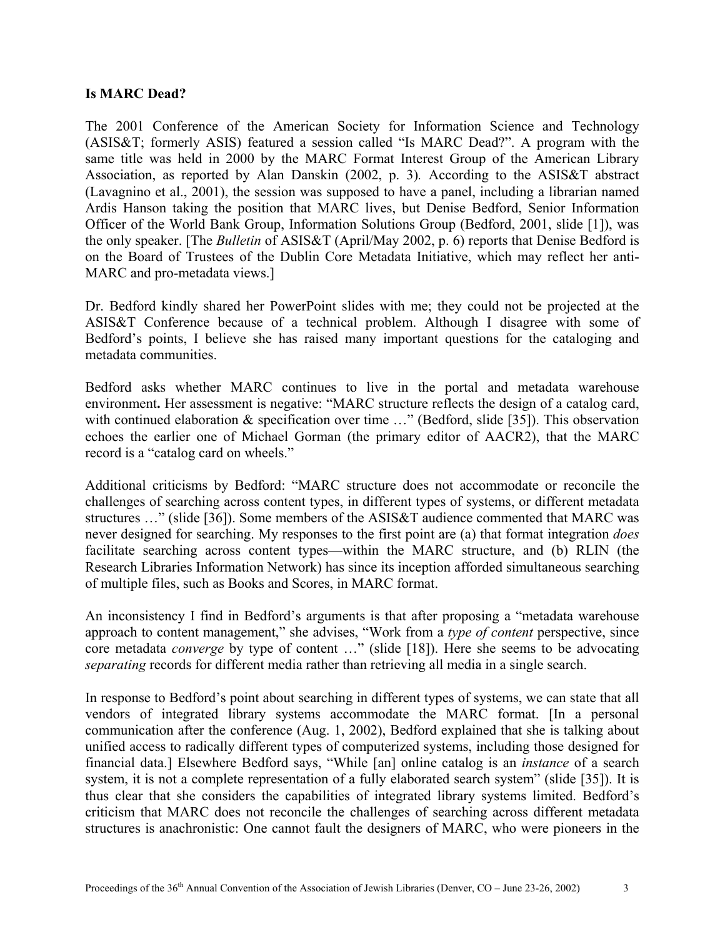#### **Is MARC Dead?**

The 2001 Conference of the American Society for Information Science and Technology (ASIS&T; formerly ASIS) featured a session called "Is MARC Dead?". A program with the same title was held in 2000 by the MARC Format Interest Group of the American Library Association, as reported by Alan Danskin (2002, p. 3)*.* According to the ASIS&T abstract (Lavagnino et al., 2001), the session was supposed to have a panel, including a librarian named Ardis Hanson taking the position that MARC lives, but Denise Bedford, Senior Information Officer of the World Bank Group, Information Solutions Group (Bedford, 2001, slide [1]), was the only speaker. [The *Bulletin* of ASIS&T (April/May 2002, p. 6) reports that Denise Bedford is on the Board of Trustees of the Dublin Core Metadata Initiative, which may reflect her anti-MARC and pro-metadata views.]

Dr. Bedford kindly shared her PowerPoint slides with me; they could not be projected at the ASIS&T Conference because of a technical problem. Although I disagree with some of Bedford's points, I believe she has raised many important questions for the cataloging and metadata communities.

Bedford asks whether MARC continues to live in the portal and metadata warehouse environment. Her assessment is negative: "MARC structure reflects the design of a catalog card, with continued elaboration & specification over time ..." (Bedford, slide [35]). This observation echoes the earlier one of Michael Gorman (the primary editor of AACR2), that the MARC record is a "catalog card on wheels."

Additional criticisms by Bedford: "MARC structure does not accommodate or reconcile the challenges of searching across content types, in different types of systems, or different metadata structures …" (slide [36]). Some members of the ASIS&T audience commented that MARC was never designed for searching. My responses to the first point are (a) that format integration *does* facilitate searching across content types—within the MARC structure, and (b) RLIN (the Research Libraries Information Network) has since its inception afforded simultaneous searching of multiple files, such as Books and Scores, in MARC format.

An inconsistency I find in Bedford's arguments is that after proposing a "metadata warehouse approach to content management," she advises, "Work from a *type of content* perspective, since core metadata *converge* by type of content …" (slide [18]). Here she seems to be advocating *separating* records for different media rather than retrieving all media in a single search.

In response to Bedford's point about searching in different types of systems, we can state that all vendors of integrated library systems accommodate the MARC format. [In a personal communication after the conference (Aug. 1, 2002), Bedford explained that she is talking about unified access to radically different types of computerized systems, including those designed for financial data.] Elsewhere Bedford says, "While [an] online catalog is an *instance* of a search system, it is not a complete representation of a fully elaborated search system" (slide [35]). It is thus clear that she considers the capabilities of integrated library systems limited. Bedford's criticism that MARC does not reconcile the challenges of searching across different metadata structures is anachronistic: One cannot fault the designers of MARC, who were pioneers in the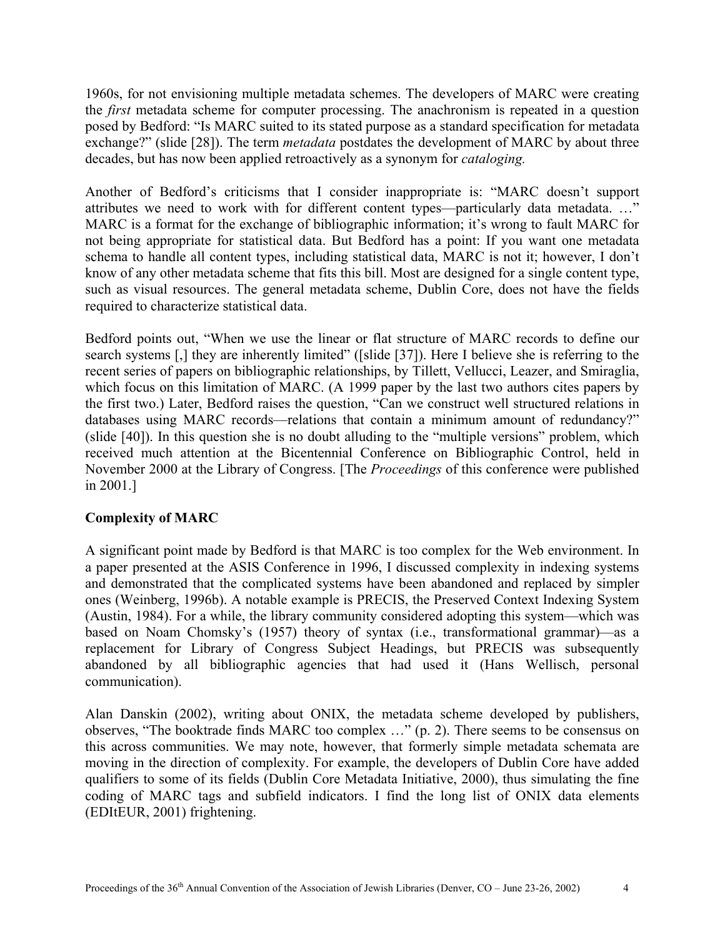1960s, for not envisioning multiple metadata schemes. The developers of MARC were creating the *first* metadata scheme for computer processing. The anachronism is repeated in a question posed by Bedford: "Is MARC suited to its stated purpose as a standard specification for metadata exchange?" (slide [28]). The term *metadata* postdates the development of MARC by about three decades, but has now been applied retroactively as a synonym for *cataloging.*

Another of Bedford's criticisms that I consider inappropriate is: "MARC doesn't support attributes we need to work with for different content types—particularly data metadata. …" MARC is a format for the exchange of bibliographic information; it's wrong to fault MARC for not being appropriate for statistical data. But Bedford has a point: If you want one metadata schema to handle all content types, including statistical data, MARC is not it; however, I don't know of any other metadata scheme that fits this bill. Most are designed for a single content type, such as visual resources. The general metadata scheme, Dublin Core, does not have the fields required to characterize statistical data.

Bedford points out, "When we use the linear or flat structure of MARC records to define our search systems [,] they are inherently limited" ([slide [37]). Here I believe she is referring to the recent series of papers on bibliographic relationships, by Tillett, Vellucci, Leazer, and Smiraglia, which focus on this limitation of MARC. (A 1999 paper by the last two authors cites papers by the first two.) Later, Bedford raises the question, "Can we construct well structured relations in databases using MARC records—relations that contain a minimum amount of redundancy?" (slide [40]). In this question she is no doubt alluding to the "multiple versions" problem, which received much attention at the Bicentennial Conference on Bibliographic Control, held in November 2000 at the Library of Congress. [The *Proceedings* of this conference were published in 2001.]

# **Complexity of MARC**

A significant point made by Bedford is that MARC is too complex for the Web environment. In a paper presented at the ASIS Conference in 1996, I discussed complexity in indexing systems and demonstrated that the complicated systems have been abandoned and replaced by simpler ones (Weinberg, 1996b). A notable example is PRECIS, the Preserved Context Indexing System (Austin, 1984). For a while, the library community considered adopting this system—which was based on Noam Chomsky's (1957) theory of syntax (i.e., transformational grammar)—as a replacement for Library of Congress Subject Headings, but PRECIS was subsequently abandoned by all bibliographic agencies that had used it (Hans Wellisch, personal communication).

Alan Danskin (2002), writing about ONIX, the metadata scheme developed by publishers, observes, "The booktrade finds MARC too complex …" (p. 2). There seems to be consensus on this across communities. We may note, however, that formerly simple metadata schemata are moving in the direction of complexity. For example, the developers of Dublin Core have added qualifiers to some of its fields (Dublin Core Metadata Initiative, 2000), thus simulating the fine coding of MARC tags and subfield indicators. I find the long list of ONIX data elements (EDItEUR, 2001) frightening.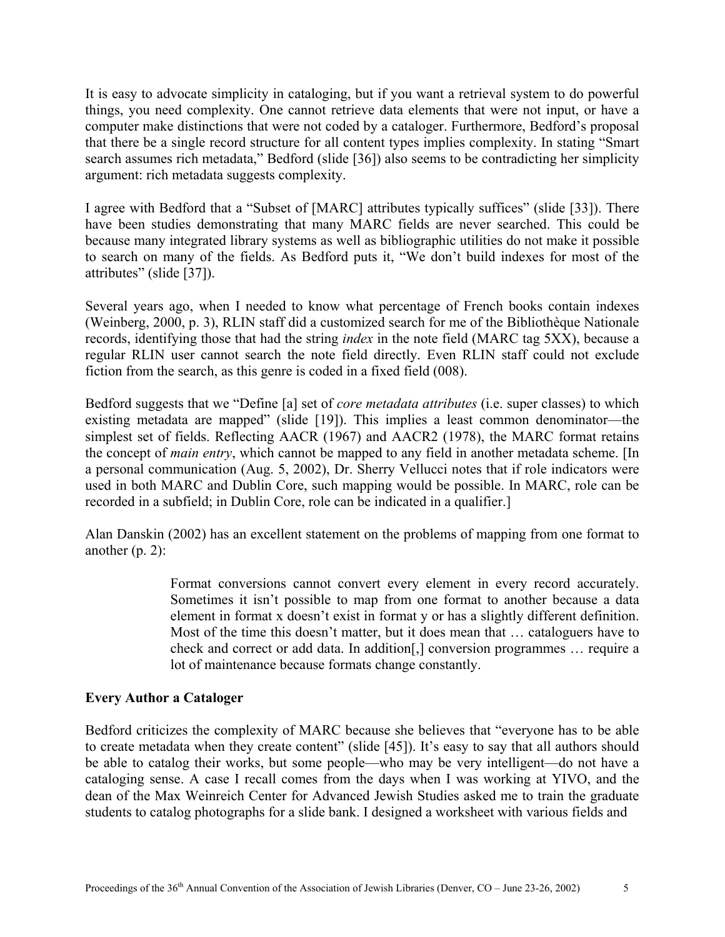It is easy to advocate simplicity in cataloging, but if you want a retrieval system to do powerful things, you need complexity. One cannot retrieve data elements that were not input, or have a computer make distinctions that were not coded by a cataloger. Furthermore, Bedford's proposal that there be a single record structure for all content types implies complexity. In stating "Smart search assumes rich metadata," Bedford (slide [36]) also seems to be contradicting her simplicity argument: rich metadata suggests complexity.

I agree with Bedford that a "Subset of [MARC] attributes typically suffices" (slide [33]). There have been studies demonstrating that many MARC fields are never searched. This could be because many integrated library systems as well as bibliographic utilities do not make it possible to search on many of the fields. As Bedford puts it, "We don't build indexes for most of the attributes" (slide [37]).

Several years ago, when I needed to know what percentage of French books contain indexes (Weinberg, 2000, p. 3), RLIN staff did a customized search for me of the Bibliothèque Nationale records, identifying those that had the string *index* in the note field (MARC tag 5XX), because a regular RLIN user cannot search the note field directly. Even RLIN staff could not exclude fiction from the search, as this genre is coded in a fixed field (008).

Bedford suggests that we "Define [a] set of *core metadata attributes* (i.e. super classes) to which existing metadata are mapped" (slide [19]). This implies a least common denominator—the simplest set of fields. Reflecting AACR (1967) and AACR2 (1978), the MARC format retains the concept of *main entry*, which cannot be mapped to any field in another metadata scheme. [In a personal communication (Aug. 5, 2002), Dr. Sherry Vellucci notes that if role indicators were used in both MARC and Dublin Core, such mapping would be possible. In MARC, role can be recorded in a subfield; in Dublin Core, role can be indicated in a qualifier.]

Alan Danskin (2002) has an excellent statement on the problems of mapping from one format to another  $(p, 2)$ :

> Format conversions cannot convert every element in every record accurately. Sometimes it isn't possible to map from one format to another because a data element in format x doesn't exist in format y or has a slightly different definition. Most of the time this doesn't matter, but it does mean that … cataloguers have to check and correct or add data. In addition[,] conversion programmes … require a lot of maintenance because formats change constantly.

### **Every Author a Cataloger**

Bedford criticizes the complexity of MARC because she believes that "everyone has to be able to create metadata when they create content" (slide [45]). It's easy to say that all authors should be able to catalog their works, but some people—who may be very intelligent—do not have a cataloging sense. A case I recall comes from the days when I was working at YIVO, and the dean of the Max Weinreich Center for Advanced Jewish Studies asked me to train the graduate students to catalog photographs for a slide bank. I designed a worksheet with various fields and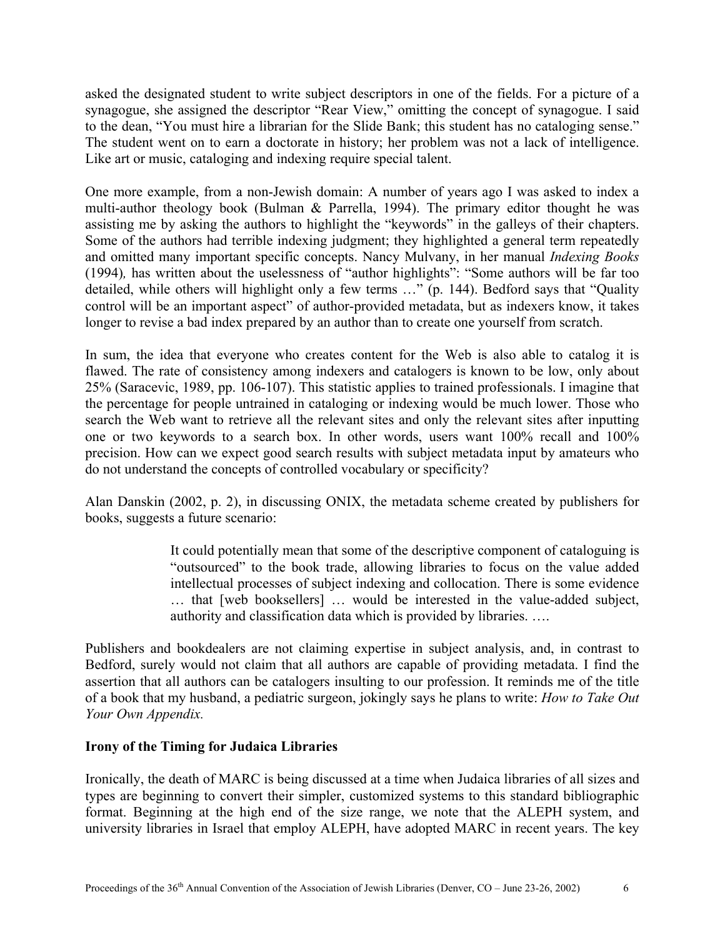asked the designated student to write subject descriptors in one of the fields. For a picture of a synagogue, she assigned the descriptor "Rear View," omitting the concept of synagogue. I said to the dean, "You must hire a librarian for the Slide Bank; this student has no cataloging sense." The student went on to earn a doctorate in history; her problem was not a lack of intelligence. Like art or music, cataloging and indexing require special talent.

One more example, from a non-Jewish domain: A number of years ago I was asked to index a multi-author theology book (Bulman & Parrella, 1994). The primary editor thought he was assisting me by asking the authors to highlight the "keywords" in the galleys of their chapters. Some of the authors had terrible indexing judgment; they highlighted a general term repeatedly and omitted many important specific concepts. Nancy Mulvany, in her manual *Indexing Books*  (1994)*,* has written about the uselessness of "author highlights": "Some authors will be far too detailed, while others will highlight only a few terms …" (p. 144). Bedford says that "Quality control will be an important aspect" of author-provided metadata, but as indexers know, it takes longer to revise a bad index prepared by an author than to create one yourself from scratch.

In sum, the idea that everyone who creates content for the Web is also able to catalog it is flawed. The rate of consistency among indexers and catalogers is known to be low, only about 25% (Saracevic, 1989, pp. 106-107). This statistic applies to trained professionals. I imagine that the percentage for people untrained in cataloging or indexing would be much lower. Those who search the Web want to retrieve all the relevant sites and only the relevant sites after inputting one or two keywords to a search box. In other words, users want 100% recall and 100% precision. How can we expect good search results with subject metadata input by amateurs who do not understand the concepts of controlled vocabulary or specificity?

Alan Danskin (2002, p. 2), in discussing ONIX, the metadata scheme created by publishers for books, suggests a future scenario:

> It could potentially mean that some of the descriptive component of cataloguing is "outsourced" to the book trade, allowing libraries to focus on the value added intellectual processes of subject indexing and collocation. There is some evidence … that [web booksellers] … would be interested in the value-added subject, authority and classification data which is provided by libraries. ….

Publishers and bookdealers are not claiming expertise in subject analysis, and, in contrast to Bedford, surely would not claim that all authors are capable of providing metadata. I find the assertion that all authors can be catalogers insulting to our profession. It reminds me of the title of a book that my husband, a pediatric surgeon, jokingly says he plans to write: *How to Take Out Your Own Appendix.* 

### **Irony of the Timing for Judaica Libraries**

Ironically, the death of MARC is being discussed at a time when Judaica libraries of all sizes and types are beginning to convert their simpler, customized systems to this standard bibliographic format. Beginning at the high end of the size range, we note that the ALEPH system, and university libraries in Israel that employ ALEPH, have adopted MARC in recent years. The key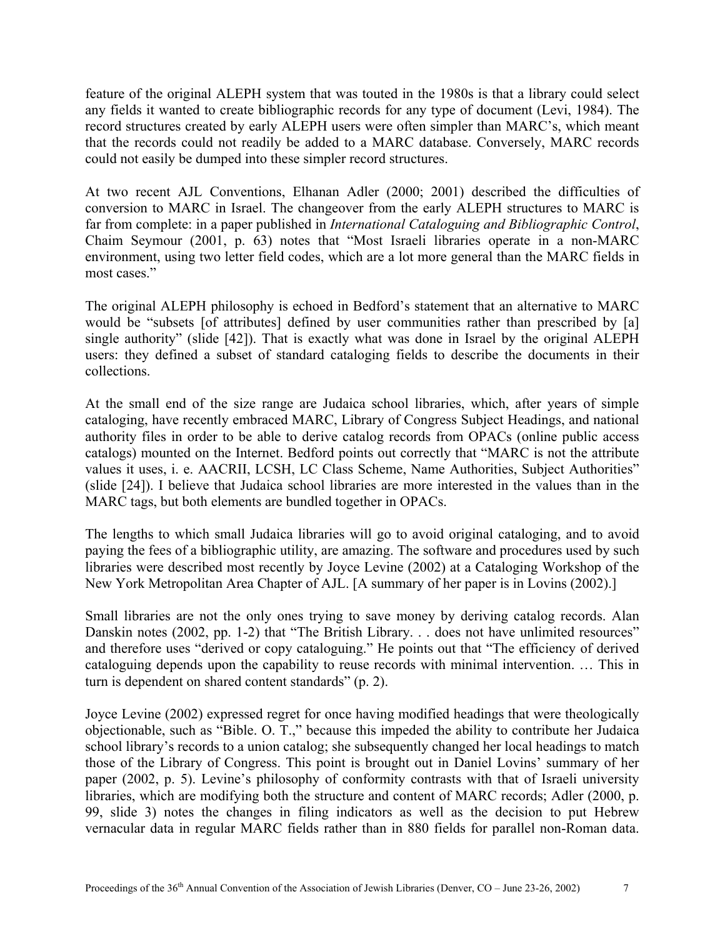feature of the original ALEPH system that was touted in the 1980s is that a library could select any fields it wanted to create bibliographic records for any type of document (Levi, 1984). The record structures created by early ALEPH users were often simpler than MARC's, which meant that the records could not readily be added to a MARC database. Conversely, MARC records could not easily be dumped into these simpler record structures.

At two recent AJL Conventions, Elhanan Adler (2000; 2001) described the difficulties of conversion to MARC in Israel. The changeover from the early ALEPH structures to MARC is far from complete: in a paper published in *International Cataloguing and Bibliographic Control*, Chaim Seymour (2001, p. 63) notes that "Most Israeli libraries operate in a non-MARC environment, using two letter field codes, which are a lot more general than the MARC fields in most cases."

The original ALEPH philosophy is echoed in Bedford's statement that an alternative to MARC would be "subsets [of attributes] defined by user communities rather than prescribed by [a] single authority" (slide [42]). That is exactly what was done in Israel by the original ALEPH users: they defined a subset of standard cataloging fields to describe the documents in their collections.

At the small end of the size range are Judaica school libraries, which, after years of simple cataloging, have recently embraced MARC, Library of Congress Subject Headings, and national authority files in order to be able to derive catalog records from OPACs (online public access catalogs) mounted on the Internet. Bedford points out correctly that "MARC is not the attribute values it uses, i. e. AACRII, LCSH, LC Class Scheme, Name Authorities, Subject Authorities" (slide [24]). I believe that Judaica school libraries are more interested in the values than in the MARC tags, but both elements are bundled together in OPACs.

The lengths to which small Judaica libraries will go to avoid original cataloging, and to avoid paying the fees of a bibliographic utility, are amazing. The software and procedures used by such libraries were described most recently by Joyce Levine (2002) at a Cataloging Workshop of the New York Metropolitan Area Chapter of AJL. [A summary of her paper is in Lovins (2002).]

Small libraries are not the only ones trying to save money by deriving catalog records. Alan Danskin notes (2002, pp. 1-2) that "The British Library. . . does not have unlimited resources" and therefore uses "derived or copy cataloguing." He points out that "The efficiency of derived cataloguing depends upon the capability to reuse records with minimal intervention. … This in turn is dependent on shared content standards" (p. 2).

Joyce Levine (2002) expressed regret for once having modified headings that were theologically objectionable, such as "Bible. O. T.," because this impeded the ability to contribute her Judaica school library's records to a union catalog; she subsequently changed her local headings to match those of the Library of Congress. This point is brought out in Daniel Lovins' summary of her paper (2002, p. 5). Levine's philosophy of conformity contrasts with that of Israeli university libraries, which are modifying both the structure and content of MARC records; Adler (2000, p. 99, slide 3) notes the changes in filing indicators as well as the decision to put Hebrew vernacular data in regular MARC fields rather than in 880 fields for parallel non-Roman data.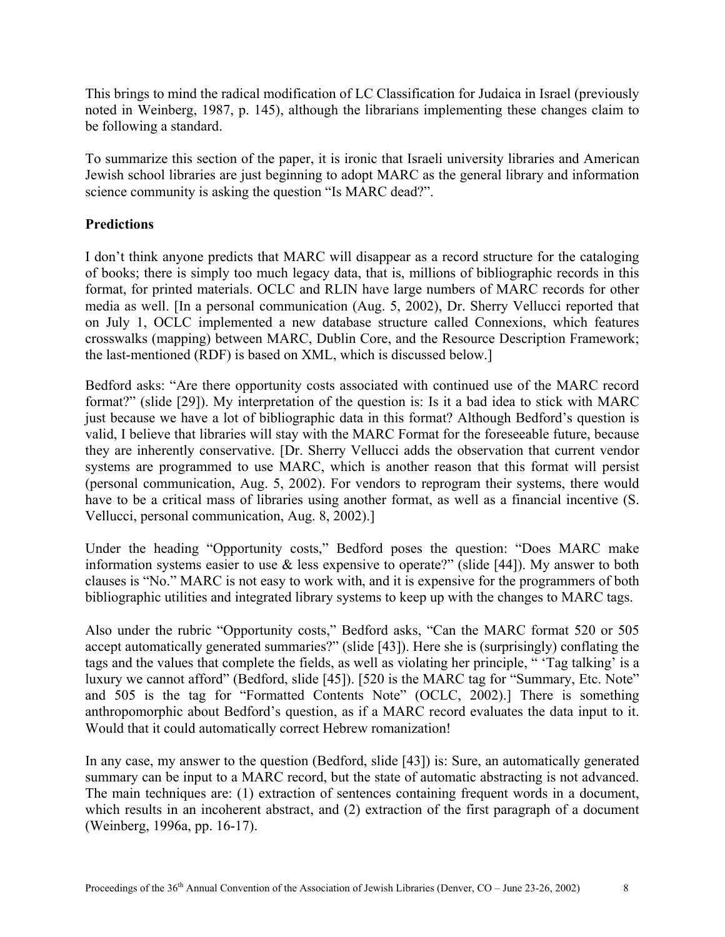This brings to mind the radical modification of LC Classification for Judaica in Israel (previously noted in Weinberg, 1987, p. 145), although the librarians implementing these changes claim to be following a standard.

To summarize this section of the paper, it is ironic that Israeli university libraries and American Jewish school libraries are just beginning to adopt MARC as the general library and information science community is asking the question "Is MARC dead?".

# **Predictions**

I don't think anyone predicts that MARC will disappear as a record structure for the cataloging of books; there is simply too much legacy data, that is, millions of bibliographic records in this format, for printed materials. OCLC and RLIN have large numbers of MARC records for other media as well. [In a personal communication (Aug. 5, 2002), Dr. Sherry Vellucci reported that on July 1, OCLC implemented a new database structure called Connexions, which features crosswalks (mapping) between MARC, Dublin Core, and the Resource Description Framework; the last-mentioned (RDF) is based on XML, which is discussed below.]

Bedford asks: "Are there opportunity costs associated with continued use of the MARC record format?" (slide [29]). My interpretation of the question is: Is it a bad idea to stick with MARC just because we have a lot of bibliographic data in this format? Although Bedford's question is valid, I believe that libraries will stay with the MARC Format for the foreseeable future, because they are inherently conservative. [Dr. Sherry Vellucci adds the observation that current vendor systems are programmed to use MARC, which is another reason that this format will persist (personal communication, Aug. 5, 2002). For vendors to reprogram their systems, there would have to be a critical mass of libraries using another format, as well as a financial incentive (S. Vellucci, personal communication, Aug. 8, 2002).]

Under the heading "Opportunity costs," Bedford poses the question: "Does MARC make information systems easier to use & less expensive to operate?" (slide [44]). My answer to both clauses is "No." MARC is not easy to work with, and it is expensive for the programmers of both bibliographic utilities and integrated library systems to keep up with the changes to MARC tags.

Also under the rubric "Opportunity costs," Bedford asks, "Can the MARC format 520 or 505 accept automatically generated summaries?" (slide [43]). Here she is (surprisingly) conflating the tags and the values that complete the fields, as well as violating her principle, " 'Tag talking' is a luxury we cannot afford" (Bedford, slide [45]). [520 is the MARC tag for "Summary, Etc. Note" and 505 is the tag for "Formatted Contents Note" (OCLC, 2002).] There is something anthropomorphic about Bedford's question, as if a MARC record evaluates the data input to it. Would that it could automatically correct Hebrew romanization!

In any case, my answer to the question (Bedford, slide [43]) is: Sure, an automatically generated summary can be input to a MARC record, but the state of automatic abstracting is not advanced. The main techniques are: (1) extraction of sentences containing frequent words in a document, which results in an incoherent abstract, and (2) extraction of the first paragraph of a document (Weinberg, 1996a, pp. 16-17).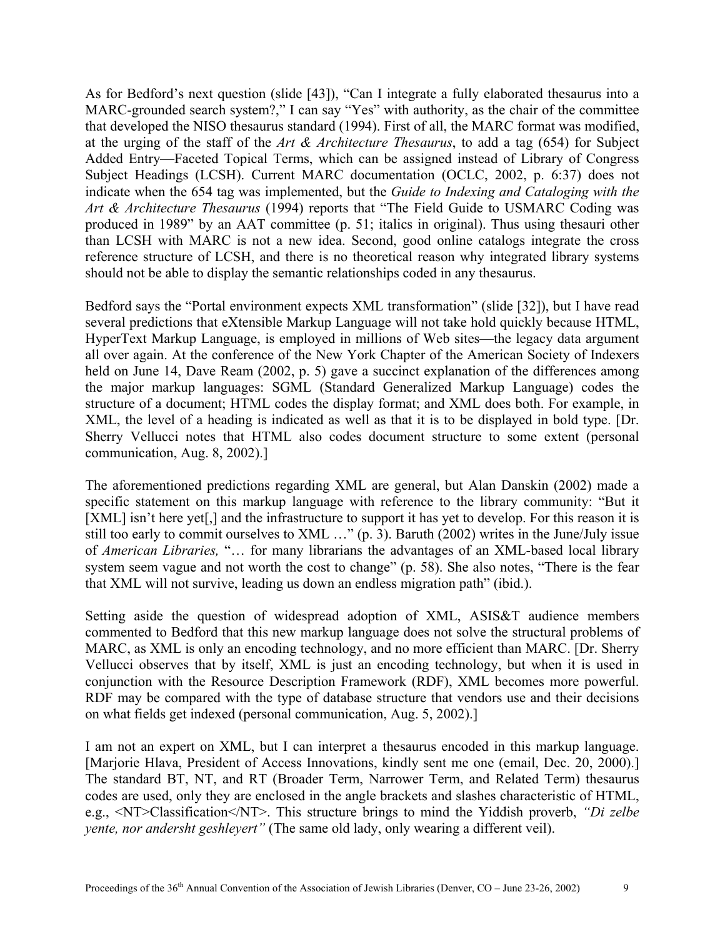As for Bedford's next question (slide [43]), "Can I integrate a fully elaborated thesaurus into a MARC-grounded search system?," I can say "Yes" with authority, as the chair of the committee that developed the NISO thesaurus standard (1994). First of all, the MARC format was modified, at the urging of the staff of the *Art & Architecture Thesaurus*, to add a tag (654) for Subject Added Entry—Faceted Topical Terms, which can be assigned instead of Library of Congress Subject Headings (LCSH). Current MARC documentation (OCLC, 2002, p. 6:37) does not indicate when the 654 tag was implemented, but the *Guide to Indexing and Cataloging with the Art & Architecture Thesaurus* (1994) reports that "The Field Guide to USMARC Coding was produced in 1989" by an AAT committee (p. 51; italics in original). Thus using thesauri other than LCSH with MARC is not a new idea. Second, good online catalogs integrate the cross reference structure of LCSH, and there is no theoretical reason why integrated library systems should not be able to display the semantic relationships coded in any thesaurus.

Bedford says the "Portal environment expects XML transformation" (slide [32]), but I have read several predictions that eXtensible Markup Language will not take hold quickly because HTML, HyperText Markup Language, is employed in millions of Web sites—the legacy data argument all over again. At the conference of the New York Chapter of the American Society of Indexers held on June 14, Dave Ream (2002, p. 5) gave a succinct explanation of the differences among the major markup languages: SGML (Standard Generalized Markup Language) codes the structure of a document; HTML codes the display format; and XML does both. For example, in XML, the level of a heading is indicated as well as that it is to be displayed in bold type. [Dr. Sherry Vellucci notes that HTML also codes document structure to some extent (personal communication, Aug. 8, 2002).]

The aforementioned predictions regarding XML are general, but Alan Danskin (2002) made a specific statement on this markup language with reference to the library community: "But it [XML] isn't here yet<sup>[1]</sup>, and the infrastructure to support it has yet to develop. For this reason it is still too early to commit ourselves to XML ..." (p. 3). Baruth (2002) writes in the June/July issue of *American Libraries,* "… for many librarians the advantages of an XML-based local library system seem vague and not worth the cost to change" (p. 58). She also notes, "There is the fear that XML will not survive, leading us down an endless migration path" (ibid.).

Setting aside the question of widespread adoption of XML, ASIS&T audience members commented to Bedford that this new markup language does not solve the structural problems of MARC, as XML is only an encoding technology, and no more efficient than MARC. [Dr. Sherry Vellucci observes that by itself, XML is just an encoding technology, but when it is used in conjunction with the Resource Description Framework (RDF), XML becomes more powerful. RDF may be compared with the type of database structure that vendors use and their decisions on what fields get indexed (personal communication, Aug. 5, 2002).]

I am not an expert on XML, but I can interpret a thesaurus encoded in this markup language. [Marjorie Hlava, President of Access Innovations, kindly sent me one (email, Dec. 20, 2000).] The standard BT, NT, and RT (Broader Term, Narrower Term, and Related Term) thesaurus codes are used, only they are enclosed in the angle brackets and slashes characteristic of HTML, e.g., <NT>Classification</NT>. This structure brings to mind the Yiddish proverb, *"Di zelbe yente, nor andersht geshleyert"* (The same old lady, only wearing a different veil).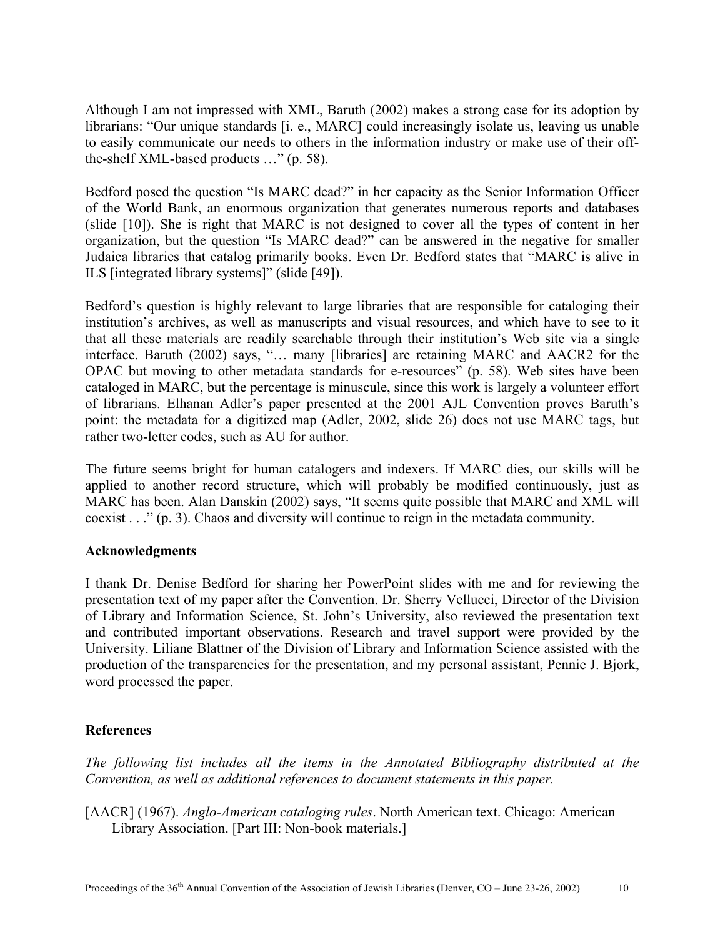Although I am not impressed with XML, Baruth (2002) makes a strong case for its adoption by librarians: "Our unique standards [i. e., MARC] could increasingly isolate us, leaving us unable to easily communicate our needs to others in the information industry or make use of their offthe-shelf XML-based products …" (p. 58).

Bedford posed the question "Is MARC dead?" in her capacity as the Senior Information Officer of the World Bank, an enormous organization that generates numerous reports and databases (slide [10]). She is right that MARC is not designed to cover all the types of content in her organization, but the question "Is MARC dead?" can be answered in the negative for smaller Judaica libraries that catalog primarily books. Even Dr. Bedford states that "MARC is alive in ILS [integrated library systems]" (slide [49]).

Bedford's question is highly relevant to large libraries that are responsible for cataloging their institution's archives, as well as manuscripts and visual resources, and which have to see to it that all these materials are readily searchable through their institution's Web site via a single interface. Baruth (2002) says, "… many [libraries] are retaining MARC and AACR2 for the OPAC but moving to other metadata standards for e-resources" (p. 58). Web sites have been cataloged in MARC, but the percentage is minuscule, since this work is largely a volunteer effort of librarians. Elhanan Adler's paper presented at the 2001 AJL Convention proves Baruth's point: the metadata for a digitized map (Adler, 2002, slide 26) does not use MARC tags, but rather two-letter codes, such as AU for author.

The future seems bright for human catalogers and indexers. If MARC dies, our skills will be applied to another record structure, which will probably be modified continuously, just as MARC has been. Alan Danskin (2002) says, "It seems quite possible that MARC and XML will coexist . . ." (p. 3). Chaos and diversity will continue to reign in the metadata community.

### **Acknowledgments**

I thank Dr. Denise Bedford for sharing her PowerPoint slides with me and for reviewing the presentation text of my paper after the Convention. Dr. Sherry Vellucci, Director of the Division of Library and Information Science, St. John's University, also reviewed the presentation text and contributed important observations. Research and travel support were provided by the University. Liliane Blattner of the Division of Library and Information Science assisted with the production of the transparencies for the presentation, and my personal assistant, Pennie J. Bjork, word processed the paper.

# **References**

*The following list includes all the items in the Annotated Bibliography distributed at the Convention, as well as additional references to document statements in this paper.* 

[AACR] (1967). *Anglo-American cataloging rules*. North American text. Chicago: American Library Association. [Part III: Non-book materials.]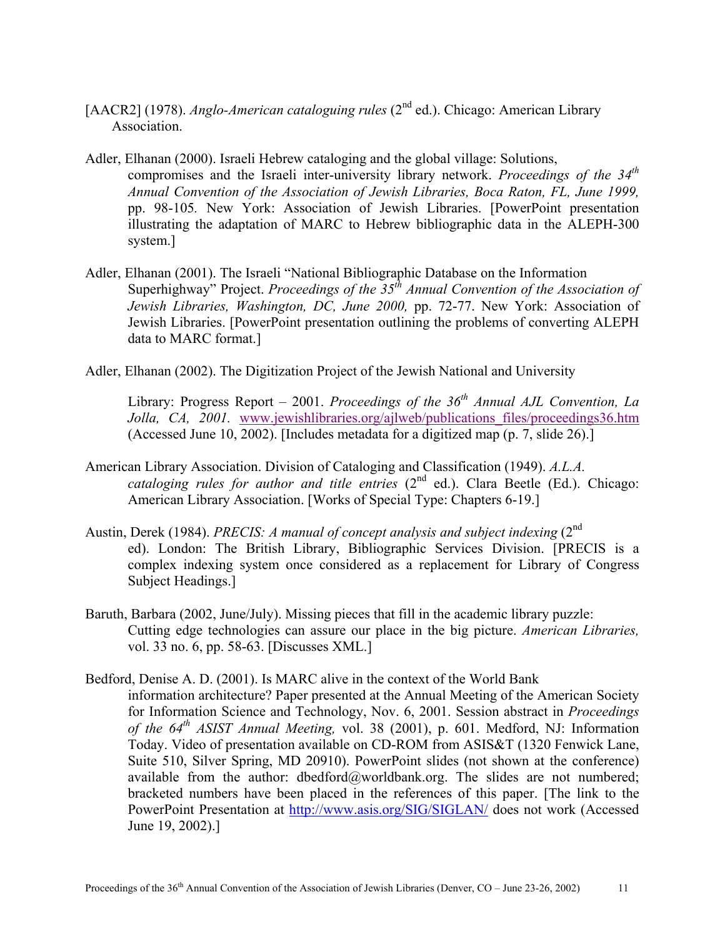- [AACR2] (1978). *Anglo-American cataloguing rules* (2<sup>nd</sup> ed.). Chicago: American Library Association.
- Adler, Elhanan (2000). Israeli Hebrew cataloging and the global village: Solutions, compromises and the Israeli inter-university library network. *Proceedings of the 34th Annual Convention of the Association of Jewish Libraries, Boca Raton, FL, June 1999,*  pp. 98-105*.* New York: Association of Jewish Libraries. [PowerPoint presentation illustrating the adaptation of MARC to Hebrew bibliographic data in the ALEPH-300 system.]
- Adler, Elhanan (2001). The Israeli "National Bibliographic Database on the Information Superhighway" Project. *Proceedings of the 35th Annual Convention of the Association of Jewish Libraries, Washington, DC, June 2000,* pp. 72-77. New York: Association of Jewish Libraries. [PowerPoint presentation outlining the problems of converting ALEPH data to MARC format.]
- Adler, Elhanan (2002). The Digitization Project of the Jewish National and University

Library: Progress Report – 2001. *Proceedings of the 36<sup>th</sup> Annual AJL Convention, La Jolla, CA, 2001.* www.jewishlibraries.org/ajlweb/publications\_files/proceedings36.htm (Accessed June 10, 2002). [Includes metadata for a digitized map (p. 7, slide 26).]

- American Library Association. Division of Cataloging and Classification (1949). *A.L.A. cataloging rules for author and title entries*  $(2^{nd}$  ed.). Clara Beetle (Ed.). Chicago: American Library Association. [Works of Special Type: Chapters 6-19.]
- Austin, Derek (1984). *PRECIS: A manual of concept analysis and subject indexing* (2<sup>nd</sup>) ed). London: The British Library, Bibliographic Services Division. [PRECIS is a complex indexing system once considered as a replacement for Library of Congress Subject Headings.]
- Baruth, Barbara (2002, June/July). Missing pieces that fill in the academic library puzzle: Cutting edge technologies can assure our place in the big picture. *American Libraries,* vol. 33 no. 6, pp. 58-63. [Discusses XML.]
- Bedford, Denise A. D. (2001). Is MARC alive in the context of the World Bank information architecture? Paper presented at the Annual Meeting of the American Society for Information Science and Technology, Nov. 6, 2001. Session abstract in *Proceedings of the 64th ASIST Annual Meeting,* vol. 38 (2001), p. 601. Medford, NJ: Information Today. Video of presentation available on CD-ROM from ASIS&T (1320 Fenwick Lane, Suite 510, Silver Spring, MD 20910). PowerPoint slides (not shown at the conference) available from the author:  $dbedford@worddbank.org$ . The slides are not numbered; bracketed numbers have been placed in the references of this paper. [The link to the PowerPoint Presentation at <http://www.asis.org/SIG/SIGLAN/> does not work (Accessed June 19, 2002).]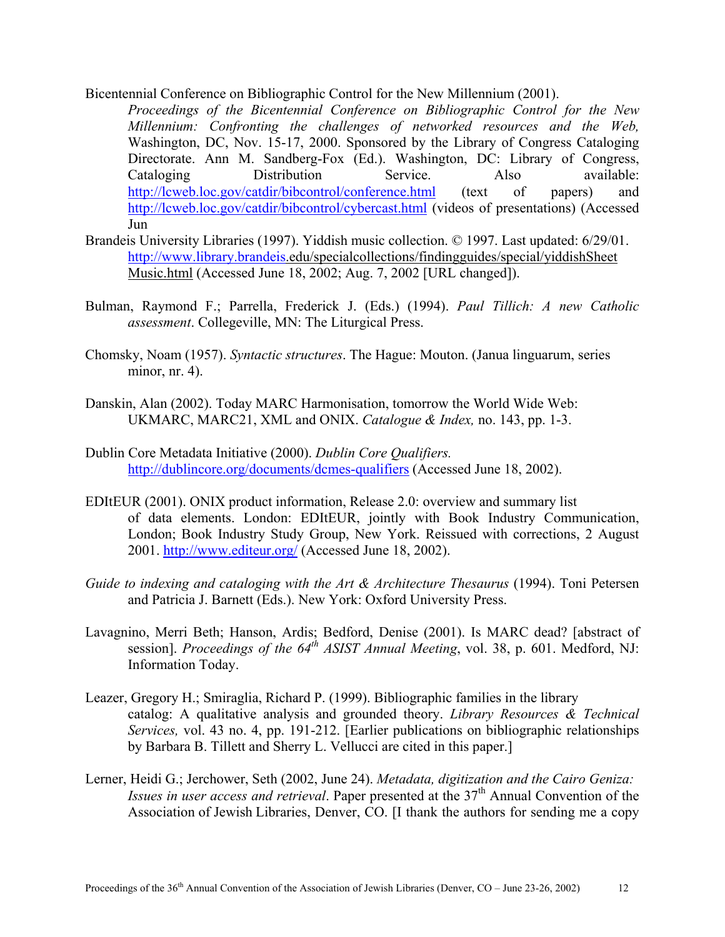Bicentennial Conference on Bibliographic Control for the New Millennium (2001).

*Proceedings of the Bicentennial Conference on Bibliographic Control for the New Millennium: Confronting the challenges of networked resources and the Web,* Washington, DC, Nov. 15-17, 2000. Sponsored by the Library of Congress Cataloging Directorate. Ann M. Sandberg-Fox (Ed.). Washington, DC: Library of Congress, Cataloging Distribution Service. Also available: <http://lcweb.loc.gov/catdir/bibcontrol/conference.html> (text of papers) and <http://lcweb.loc.gov/catdir/bibcontrol/cybercast.html>(videos of presentations) (Accessed Jun

- Brandeis University Libraries (1997). Yiddish music collection. © 1997. Last updated: 6/29/01. [http://www.library.brandeis](http://www.library.brandeis/).edu/specialcollections/findingguides/special/yiddishSheet Music.html (Accessed June 18, 2002; Aug. 7, 2002 [URL changed]).
- Bulman, Raymond F.; Parrella, Frederick J. (Eds.) (1994). *Paul Tillich: A new Catholic assessment*. Collegeville, MN: The Liturgical Press.
- Chomsky, Noam (1957). *Syntactic structures*. The Hague: Mouton. (Janua linguarum, series minor, nr. 4).
- Danskin, Alan (2002). Today MARC Harmonisation, tomorrow the World Wide Web: UKMARC, MARC21, XML and ONIX. *Catalogue & Index,* no. 143, pp. 1-3.
- Dublin Core Metadata Initiative (2000). *Dublin Core Qualifiers.* [http://dublincore.org/documents/dcmes-qualifiers](http://dublincore.org/documents/dcmers-qualifiers) (Accessed June 18, 2002).
- EDItEUR (2001). ONIX product information, Release 2.0: overview and summary list of data elements. London: EDItEUR, jointly with Book Industry Communication, London; Book Industry Study Group, New York. Reissued with corrections, 2 August 2001. <http://www.editeur.org/> (Accessed June 18, 2002).
- *Guide to indexing and cataloging with the Art & Architecture Thesaurus* (1994). Toni Petersen and Patricia J. Barnett (Eds.). New York: Oxford University Press.
- Lavagnino, Merri Beth; Hanson, Ardis; Bedford, Denise (2001). Is MARC dead? [abstract of session]. *Proceedings of the 64<sup>th</sup> ASIST Annual Meeting*, vol. 38, p. 601. Medford, NJ: Information Today.
- Leazer, Gregory H.; Smiraglia, Richard P. (1999). Bibliographic families in the library catalog: A qualitative analysis and grounded theory. *Library Resources & Technical Services,* vol. 43 no. 4, pp. 191-212. [Earlier publications on bibliographic relationships by Barbara B. Tillett and Sherry L. Vellucci are cited in this paper.]
- Lerner, Heidi G.; Jerchower, Seth (2002, June 24). *Metadata, digitization and the Cairo Geniza: Issues in user access and retrieval.* Paper presented at the 37<sup>th</sup> Annual Convention of the Association of Jewish Libraries, Denver, CO. [I thank the authors for sending me a copy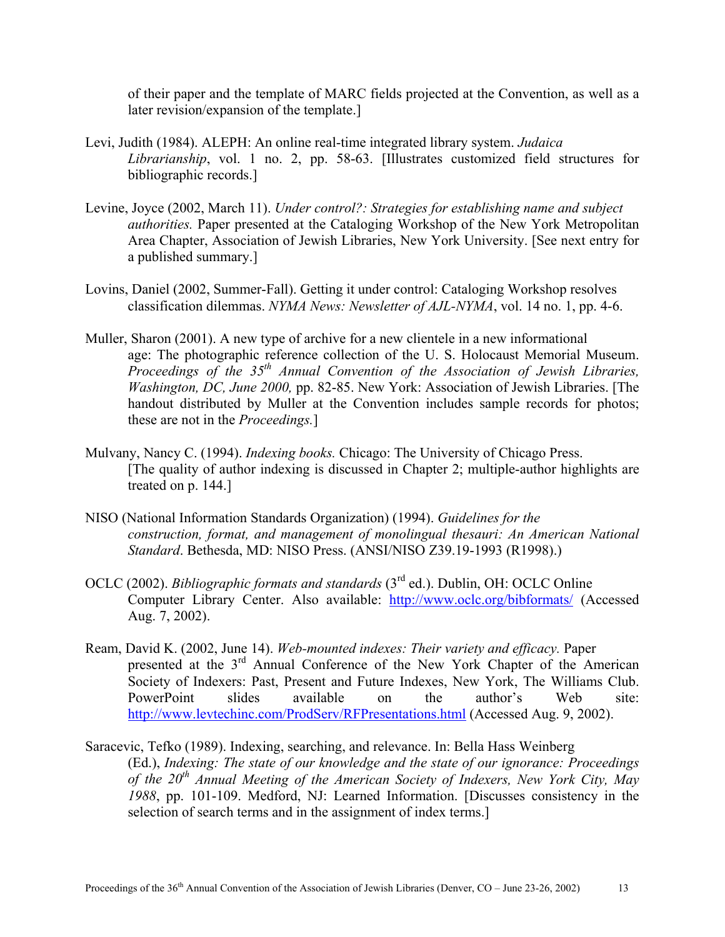of their paper and the template of MARC fields projected at the Convention, as well as a later revision/expansion of the template.]

- Levi, Judith (1984). ALEPH: An online real-time integrated library system. *Judaica Librarianship*, vol. 1 no. 2, pp. 58-63. [Illustrates customized field structures for bibliographic records.]
- Levine, Joyce (2002, March 11). *Under control?: Strategies for establishing name and subject authorities.* Paper presented at the Cataloging Workshop of the New York Metropolitan Area Chapter, Association of Jewish Libraries, New York University. [See next entry for a published summary.]
- Lovins, Daniel (2002, Summer-Fall). Getting it under control: Cataloging Workshop resolves classification dilemmas. *NYMA News: Newsletter of AJL-NYMA*, vol. 14 no. 1, pp. 4-6.
- Muller, Sharon (2001). A new type of archive for a new clientele in a new informational age: The photographic reference collection of the U. S. Holocaust Memorial Museum. *Proceedings of the 35th Annual Convention of the Association of Jewish Libraries, Washington, DC, June 2000,* pp. 82-85. New York: Association of Jewish Libraries. [The handout distributed by Muller at the Convention includes sample records for photos; these are not in the *Proceedings.*]
- Mulvany, Nancy C. (1994). *Indexing books.* Chicago: The University of Chicago Press. [The quality of author indexing is discussed in Chapter 2; multiple-author highlights are treated on p. 144.]
- NISO (National Information Standards Organization) (1994). *Guidelines for the construction, format, and management of monolingual thesauri: An American National Standard*. Bethesda, MD: NISO Press. (ANSI/NISO Z39.19-1993 (R1998).)
- OCLC (2002). *Bibliographic formats and standards* (3rd ed.). Dublin, OH: OCLC Online Computer Library Center. Also available: <http://www.oclc.org/bibformats/> (Accessed Aug. 7, 2002).
- Ream, David K. (2002, June 14). *Web-mounted indexes: Their variety and efficacy.* Paper presented at the 3rd Annual Conference of the New York Chapter of the American Society of Indexers: Past, Present and Future Indexes, New York, The Williams Club. PowerPoint slides available on the author's Web site: <http://www.levtechinc.com/ProdServ/RFPresentations.html>(Accessed Aug. 9, 2002).
- Saracevic, Tefko (1989). Indexing, searching, and relevance. In: Bella Hass Weinberg (Ed.), *Indexing: The state of our knowledge and the state of our ignorance: Proceedings of the 20th Annual Meeting of the American Society of Indexers, New York City, May 1988*, pp. 101-109. Medford, NJ: Learned Information. [Discusses consistency in the selection of search terms and in the assignment of index terms.]